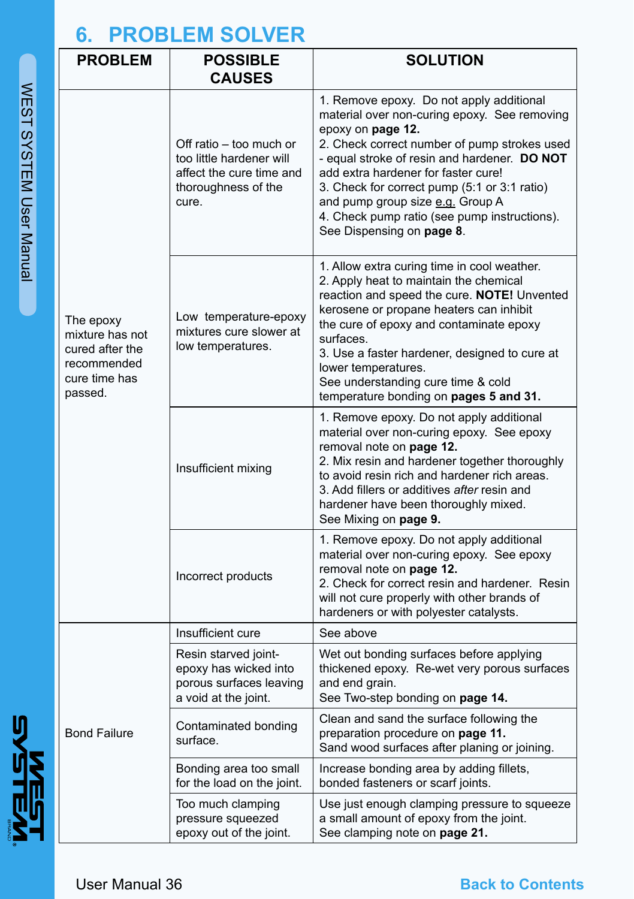## **6. PROBLEM SOLVER**

**MENSIST** 

| <b>PROBLEM</b>                                                                             | <b>POSSIBLE</b><br><b>CAUSES</b>                                                                                | <b>SOLUTION</b>                                                                                                                                                                                                                                                                                                                                                                                                       |
|--------------------------------------------------------------------------------------------|-----------------------------------------------------------------------------------------------------------------|-----------------------------------------------------------------------------------------------------------------------------------------------------------------------------------------------------------------------------------------------------------------------------------------------------------------------------------------------------------------------------------------------------------------------|
| The epoxy<br>mixture has not<br>cured after the<br>recommended<br>cure time has<br>passed. | Off ratio – too much or<br>too little hardener will<br>affect the cure time and<br>thoroughness of the<br>cure. | 1. Remove epoxy. Do not apply additional<br>material over non-curing epoxy. See removing<br>epoxy on page 12.<br>2. Check correct number of pump strokes used<br>- equal stroke of resin and hardener. DO NOT<br>add extra hardener for faster cure!<br>3. Check for correct pump (5:1 or 3:1 ratio)<br>and pump group size e.g. Group A<br>4. Check pump ratio (see pump instructions).<br>See Dispensing on page 8. |
|                                                                                            | Low temperature-epoxy<br>mixtures cure slower at<br>low temperatures.                                           | 1. Allow extra curing time in cool weather.<br>2. Apply heat to maintain the chemical<br>reaction and speed the cure. NOTE! Unvented<br>kerosene or propane heaters can inhibit<br>the cure of epoxy and contaminate epoxy<br>surfaces.<br>3. Use a faster hardener, designed to cure at<br>lower temperatures.<br>See understanding cure time & cold<br>temperature bonding on pages 5 and 31.                       |
|                                                                                            | Insufficient mixing                                                                                             | 1. Remove epoxy. Do not apply additional<br>material over non-curing epoxy. See epoxy<br>removal note on page 12.<br>2. Mix resin and hardener together thoroughly<br>to avoid resin rich and hardener rich areas.<br>3. Add fillers or additives after resin and<br>hardener have been thoroughly mixed.<br>See Mixing on page 9.                                                                                    |
|                                                                                            | Incorrect products                                                                                              | 1. Remove epoxy. Do not apply additional<br>material over non-curing epoxy. See epoxy<br>removal note on page 12.<br>2. Check for correct resin and hardener. Resin<br>will not cure properly with other brands of<br>hardeners or with polyester catalysts.                                                                                                                                                          |
| Bond Failure                                                                               | Insufficient cure                                                                                               | See above                                                                                                                                                                                                                                                                                                                                                                                                             |
|                                                                                            | Resin starved joint-<br>epoxy has wicked into<br>porous surfaces leaving<br>a void at the joint.                | Wet out bonding surfaces before applying<br>thickened epoxy. Re-wet very porous surfaces<br>and end grain.<br>See Two-step bonding on page 14.                                                                                                                                                                                                                                                                        |
|                                                                                            | Contaminated bonding<br>surface.                                                                                | Clean and sand the surface following the<br>preparation procedure on page 11.<br>Sand wood surfaces after planing or joining.                                                                                                                                                                                                                                                                                         |
|                                                                                            | Bonding area too small<br>for the load on the joint.                                                            | Increase bonding area by adding fillets,<br>bonded fasteners or scarf joints.                                                                                                                                                                                                                                                                                                                                         |
|                                                                                            | Too much clamping<br>pressure squeezed<br>epoxy out of the joint.                                               | Use just enough clamping pressure to squeeze<br>a small amount of epoxy from the joint.<br>See clamping note on page 21.                                                                                                                                                                                                                                                                                              |

## **Back to Contents**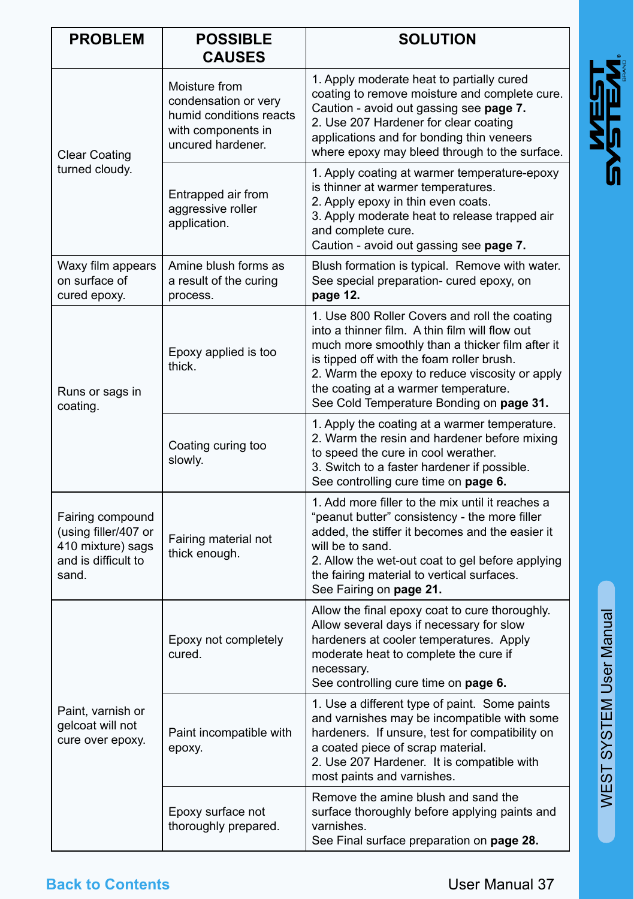| <b>PROBLEM</b>                                                                                | <b>POSSIBLE</b><br><b>CAUSES</b>                                                                            | <b>SOLUTION</b>                                                                                                                                                                                                                                                                                                                       |
|-----------------------------------------------------------------------------------------------|-------------------------------------------------------------------------------------------------------------|---------------------------------------------------------------------------------------------------------------------------------------------------------------------------------------------------------------------------------------------------------------------------------------------------------------------------------------|
| <b>Clear Coating</b><br>turned cloudy.                                                        | Moisture from<br>condensation or very<br>humid conditions reacts<br>with components in<br>uncured hardener. | 1. Apply moderate heat to partially cured<br>coating to remove moisture and complete cure.<br>Caution - avoid out gassing see page 7.<br>2. Use 207 Hardener for clear coating<br>applications and for bonding thin veneers<br>where epoxy may bleed through to the surface.                                                          |
|                                                                                               | Entrapped air from<br>aggressive roller<br>application.                                                     | 1. Apply coating at warmer temperature-epoxy<br>is thinner at warmer temperatures.<br>2. Apply epoxy in thin even coats.<br>3. Apply moderate heat to release trapped air<br>and complete cure.<br>Caution - avoid out gassing see page 7.                                                                                            |
| Waxy film appears<br>on surface of<br>cured epoxy.                                            | Amine blush forms as<br>a result of the curing<br>process.                                                  | Blush formation is typical. Remove with water.<br>See special preparation- cured epoxy, on<br>page 12.                                                                                                                                                                                                                                |
| Runs or sags in<br>coating.                                                                   | Epoxy applied is too<br>thick.                                                                              | 1. Use 800 Roller Covers and roll the coating<br>into a thinner film. A thin film will flow out<br>much more smoothly than a thicker film after it<br>is tipped off with the foam roller brush.<br>2. Warm the epoxy to reduce viscosity or apply<br>the coating at a warmer temperature.<br>See Cold Temperature Bonding on page 31. |
|                                                                                               | Coating curing too<br>slowly.                                                                               | 1. Apply the coating at a warmer temperature.<br>2. Warm the resin and hardener before mixing<br>to speed the cure in cool werather.<br>3. Switch to a faster hardener if possible.<br>See controlling cure time on page 6.                                                                                                           |
| Fairing compound<br>(using filler/407 or<br>410 mixture) sags<br>and is difficult to<br>sand. | Fairing material not<br>thick enough.                                                                       | 1. Add more filler to the mix until it reaches a<br>"peanut butter" consistency - the more filler<br>added, the stiffer it becomes and the easier it<br>will be to sand.<br>2. Allow the wet-out coat to gel before applying<br>the fairing material to vertical surfaces.<br>See Fairing on page 21.                                 |
| Paint, varnish or<br>gelcoat will not<br>cure over epoxy.                                     | Epoxy not completely<br>cured.                                                                              | Allow the final epoxy coat to cure thoroughly.<br>Allow several days if necessary for slow<br>hardeners at cooler temperatures. Apply<br>moderate heat to complete the cure if<br>necessary.<br>See controlling cure time on page 6.                                                                                                  |
|                                                                                               | Paint incompatible with<br>ероху.                                                                           | 1. Use a different type of paint. Some paints<br>and varnishes may be incompatible with some<br>hardeners. If unsure, test for compatibility on<br>a coated piece of scrap material.<br>2. Use 207 Hardener. It is compatible with<br>most paints and varnishes.                                                                      |
|                                                                                               | Epoxy surface not<br>thoroughly prepared.                                                                   | Remove the amine blush and sand the<br>surface thoroughly before applying paints and<br>varnishes.<br>See Final surface preparation on page 28.                                                                                                                                                                                       |

## **Back to Contents**